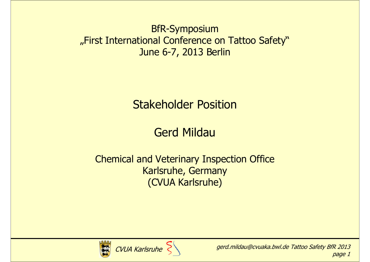### BfR-Symposium "First International Conference on Tattoo Safety" June 6-7, 2013 Berlin

### Stakeholder Position

### Gerd Mildau

### Chemical and Veterinary Inspection OfficeKarlsruhe, Germany(CVUA Karlsruhe)



CVUA Karlsruhe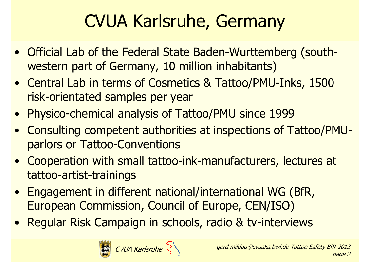# CVUA Karlsruhe, Germany

- Official Lab of the Federal State Baden-Wurttemberg (southwestern part of Germany, 10 million inhabitants)
- Central Lab in terms of Cosmetics & Tattoo/PMU-Inks, 1500 risk-orientated samples per year
- Physico-chemical analysis of Tattoo/PMU since 1999
- Consulting competent authorities at inspections of Tattoo/PMUparlors or Tattoo-Conventions
- Cooperation with small tattoo-ink-manufacturers, lectures at tattoo-artist-trainings
- Engagement in different national/international WG (BfR,<br>• Euronean Commission, Council of Eurone, CEN/ISO) European Commission, Council of Europe, CEN/ISO)
- Regular Risk Campaign in schools, radio & tv-interviews



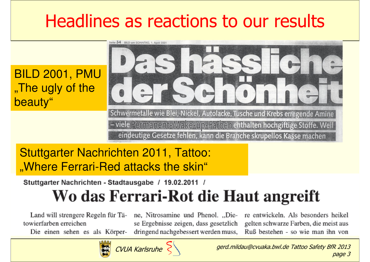# Headlines as reactions to our results

BILD 2001, PMU"The ugly of the beauty"



### Stuttgarter Nachrichten 2011, Tattoo: "Where Ferrari-Red attacks the skin"

### Stuttgarter Nachrichten - Stadtausgabe / 19.02.2011 /

## Wo das Ferrari-Rot die Haut angreift

Land will strengere Regeln für Tätowierfarben erreichen

Die einen sehen es als Körper-

ne. Nitrosamine und Phenol. "Diese Ergebnisse zeigen, dass gesetzlich dringend nachgebessert werden muss,

re entwickeln. Als besonders heikel gelten schwarze Farben, die meist aus Ruß bestehen - so wie man ihn von



gerd.mildau@cvuaka.bwl.de Tattoo Safety BfR 2013page 3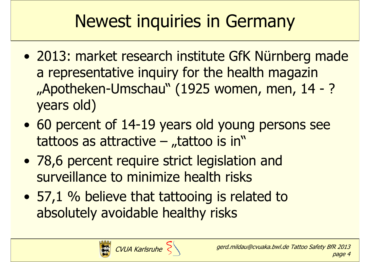# Newest inquiries in Germany

- $\bullet$ 2013: market research institute GfK Nürnberg made<br>a representative inquiry for the health magazin a representative inquiry for the health magazin "Apotheken-Umschau" (1925 women, men, 14 - ?)<br>vears old) years old)
- $\bullet$ 60 percent of  $14-19$  years old young persons see<br>tattoos as attractive – tattoo is in" tattoos as attractive  $-$  "tattoo is in"
- $\bullet$ 78,6 percent require strict legislation and<br>surveillance to minimize health risks surveillance to minimize health risks
- $\bullet$ 57,1 % believe that tattooing is related to<br>absolutely avoidable healthy risks absolutely avoidable healthy risks

CVUA Karlsruhe

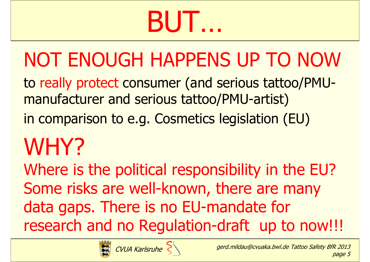# BUT…

# NOT ENOUGH HAPPENS UP TO NOW

to really protect consumer (and serious tattoo/PMUmanufacturer and serious tattoo/PMU-artist)

in comparison to e.g. Cosmetics legislation (EU)

# WHY?

 Where is the political responsibility in the EU? Some risks are well-known, there are many data gaps. There is no EU-mandate for research and no Regulation-draft up to now!!!



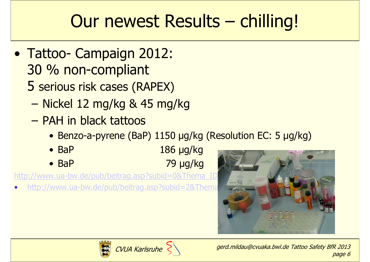# Our newest Results – chilling!

- Tattoo- Campaign 2012:<br>30 % non-compliant 30 % non-compliant
	- 5 serious risk cases (RAPEX)
		- Nickel 12 mg/kg & 45 mg/kg
		- PAH in black tattoos<br>A Benzo-a-pyrene (Bal
			- Benzo-a-pyrene (BaP) 1150 µg/kg (Resolution EC: 5 µg/kg)
			- BaP 186 µg/kg<br>79 µg/kg
			- BaP

•http://www.ua-bw.de/pub/beitrag.asp?subid=2&Thema





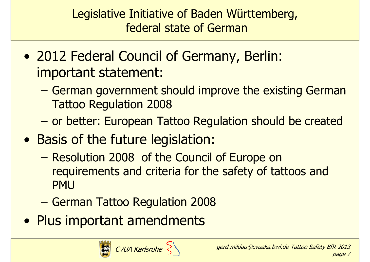Legislative Initiative of Baden Württemberg,federal state of German

- $\bullet$ 2012 Federal Council of Germany, Berlin:<br>important statement: important statement:
	- German government should improve the existing German<br>Tattoo Requilation 2008 Tattoo Regulation 2008
	- or better: European Tattoo Regulation should be created
- $\bullet$ Basis of the future legislation:<br>- Pesolution 2008, of the Council
	- Resolution 2008 of the Council of Europe on<br>requirements and criteria for the safety of tati requirements and criteria for the safety of tattoos and PMU
	- –German Tattoo Regulation 2008
- $\bullet$ Plus important amendments

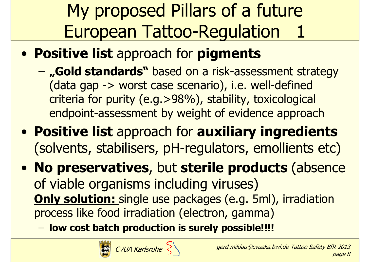# My proposed Pillars of a future European Tattoo-Regulation 1

- $\bullet$ **• Positive list** approach for **pigments** 
	- –- "Gold standards" based on a risk-assessment strategy (data gap -> worst case scenario), i.e. well-defined criteria for purity (e.g.>98%), stability, toxicological endpoint-assessment by weight of evidence approach
- $\bullet$ • Positive list approach for auxiliary ingredients (solvents, stabilisers, pH-regulators, emollients etc)
- $\bullet$  No preservatives, but sterile products (absence of viable organisms including viruses) Only solution: single use packages (e.g. 5ml), irradiation process like food irradiation (electron, gamma)
	- –- low cost batch production is surely possible!!!!



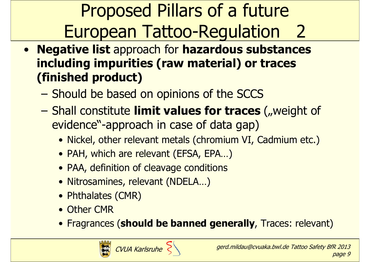Proposed Pillars of a future European Tattoo-Regulation 2

- Negative list approach for hazardous substances including impurities (raw material) or traces (finished product)
	- –Should be based on opinions of the SCCS
	- Shall constitute **limit values for traces** ("weight of evidence"-annroach in case of data gan) evidence"-approach in case of data gap)
		- Nickel, other relevant metals (chromium VI, Cadmium etc.)<br>• RAH which are relevant (EESA, EBA, )
		- PAH, which are relevant (EFSA, EPA...)<br>• PAA, definition of clasuage conditions
		- PAA, definition of cleavage conditions<br>• Nitresamines, relevent (NDELA
		- Nitrosamines, relevant (NDELA...)<br>• Phthalates (CMP)
		- Phthalates (CMR)<br>• Other CMP
		- Other CMR
		- Fragrances (should be banned generally, Traces: relevant)



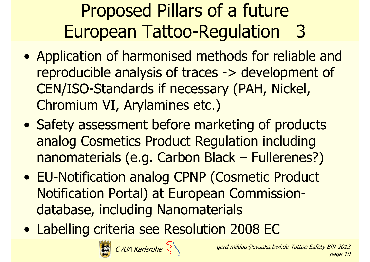# Proposed Pillars of a future European Tattoo-Regulation 3

- $\bullet$ Application of harmonised methods for reliable and<br>reproducible analysis of traces -> development of reproducible analysis of traces -> development of CEN/ISO-Standards if necessary (PAH, Nickel, Chromium VI, Arylamines etc.)
- $\bullet$ Safety assessment before marketing of products<br>analog Cosmetics Product Requisition including analog Cosmetics Product Regulation including nanomaterials (e.g. Carbon Black – Fullerenes?)
- $\bullet$  EU-Notification analog CPNP (Cosmetic Product Notification Portal) at European Commissiondatabase, including Nanomaterials
- $\bullet$ Labelling criteria see Resolution 2008 EC

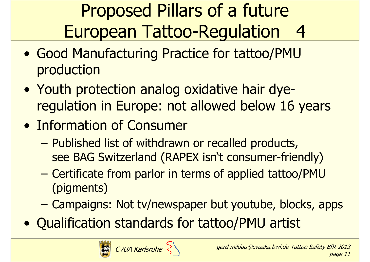# Proposed Pillars of a future European Tattoo-Regulation 4

- $\bullet$ Good Manufacturing Practice for tattoo/PMU<br>production production
- $\bullet$ Youth protection analog oxidative hair dye-<br>requilation in Europe: not allowed helow 16 regulation in Europe: not allowed below 16 years
- $\bullet$ **Information of Consumer**<br>Published list of withdrawn
	- Published list of withdrawn or recalled products,<br>See BAG Switzerland (RAPFX isn't consumer-frien see BAG Switzerland (RAPEX isn't consumer-friendly)
	- –Certificate from parlor in terms of applied tattoo/PMU<br>(nigments) (pigments)
	- –Campaigns: Not tv/newspaper but youtube, blocks, apps
- $\bullet$ Qualification standards for tattoo/PMU artist



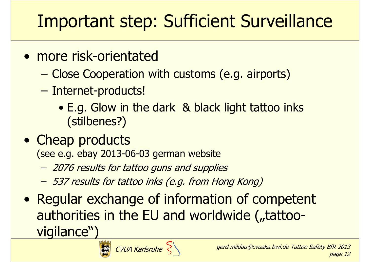# Important step: Sufficient Surveillance

- $\bullet$ more risk-orientated<br>Close Cooperation w
	- –Close Cooperation with customs (e.g. airports)
	- – Internet-products!
		- E.g. Glow in the dark & black light tattoo inks<br>(stilhenes?) (stilbenes?)
- $\bullet$ Cheap products<br>(see e.g. ebay 2013-0

(see e.g. ebay 2013-06-03 german website

- 2076 results for tattoo guns and supplies
- 537 results for tattoo inks (e.g. from Hong Kong)
- $\bullet$ Regular exchange of information of competent<br>authorities in the FU and worldwide (tattooauthorities in the EU and worldwide ("tattoovigilance")



page 12